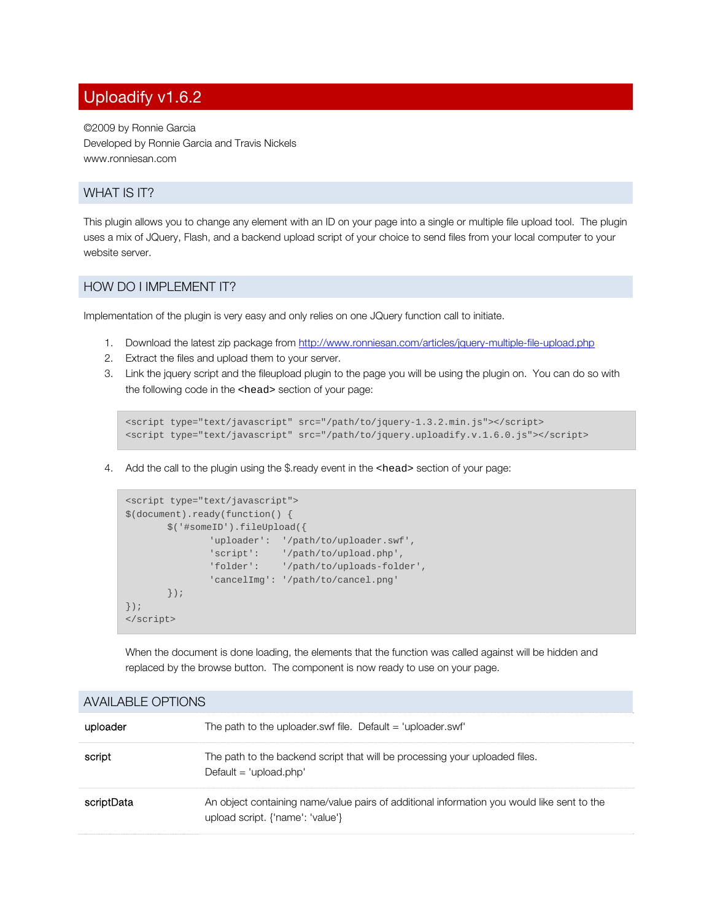# Uploadify v1.6.2

©2009 by Ronnie Garcia Developed by Ronnie Garcia and Travis Nickels www.ronniesan.com

## WHAT IS IT?

This plugin allows you to change any element with an ID on your page into a single or multiple file upload tool. The plugin uses a mix of JQuery, Flash, and a backend upload script of your choice to send files from your local computer to your website server.

#### HOW DO I IMPLEMENT IT?

Implementation of the plugin is very easy and only relies on one JQuery function call to initiate.

- 1. Download the latest zip package from http://www.ronniesan.com/articles/jquery-multiple-file-upload.php
- 2. Extract the files and upload them to your server.
- 3. Link the jquery script and the fileupload plugin to the page you will be using the plugin on. You can do so with the following code in the <head> section of your page:

```
<script type="text/javascript" src="/path/to/jquery-1.3.2.min.js"></script> 
<script type="text/javascript" src="/path/to/jquery.uploadify.v.1.6.0.js"></script>
```
4. Add the call to the plugin using the \$.ready event in the <head> section of your page:

```
<script type="text/javascript"> 
$(document).ready(function() { 
      $('#someID').fileUpload({ 
              'uploader': '/path/to/uploader.swf', 
 'script': '/path/to/upload.php', 
 'folder': '/path/to/uploads-folder', 
              'cancelImg': '/path/to/cancel.png' 
      }); 
}); 
</script>
```
 When the document is done loading, the elements that the function was called against will be hidden and replaced by the browse button. The component is now ready to use on your page.

| <b>AVAILADLL UF HUINO</b> |                                                                                                                                |
|---------------------------|--------------------------------------------------------------------------------------------------------------------------------|
| uploader                  | The path to the uploader.swf file. Default $=$ 'uploader.swf'                                                                  |
| script                    | The path to the backend script that will be processing your uploaded files.<br>Default = 'upload.php'                          |
| scriptData                | An object containing name/value pairs of additional information you would like sent to the<br>upload script. {'name': 'value'} |

## AVAILABLE OPTIONS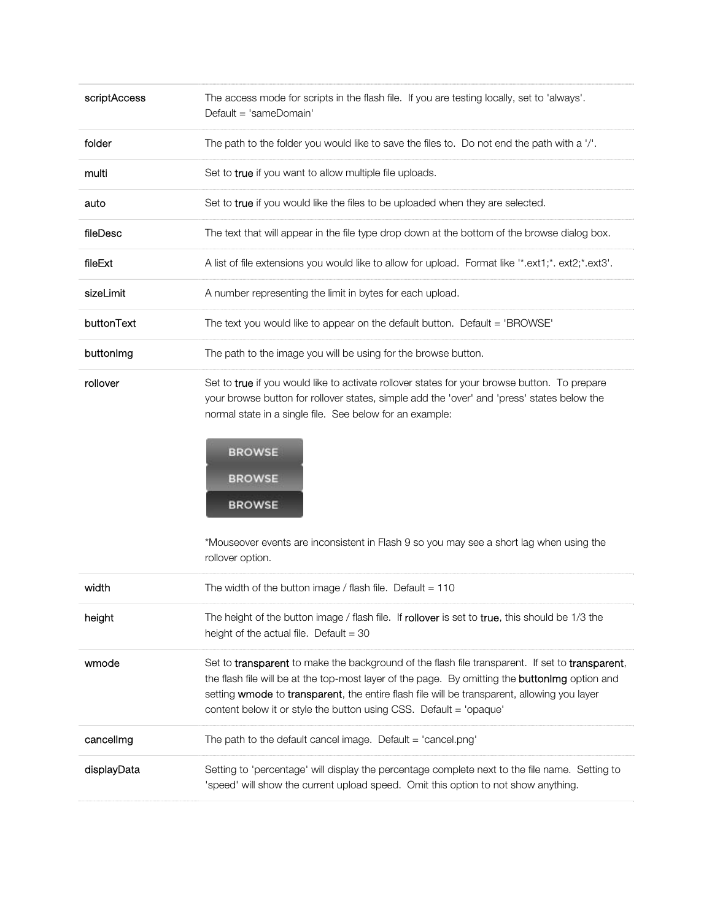| scriptAccess | The access mode for scripts in the flash file. If you are testing locally, set to 'always'.<br>Default = 'sameDomain'                                                                                                                                                                                                                                                                                                    |
|--------------|--------------------------------------------------------------------------------------------------------------------------------------------------------------------------------------------------------------------------------------------------------------------------------------------------------------------------------------------------------------------------------------------------------------------------|
| folder       | The path to the folder you would like to save the files to. Do not end the path with a '/'.                                                                                                                                                                                                                                                                                                                              |
| multi        | Set to true if you want to allow multiple file uploads.                                                                                                                                                                                                                                                                                                                                                                  |
| auto         | Set to true if you would like the files to be uploaded when they are selected.                                                                                                                                                                                                                                                                                                                                           |
| fileDesc     | The text that will appear in the file type drop down at the bottom of the browse dialog box.                                                                                                                                                                                                                                                                                                                             |
| fileExt      | A list of file extensions you would like to allow for upload. Format like "*.ext1;*. ext2;*.ext3'.                                                                                                                                                                                                                                                                                                                       |
| sizeLimit    | A number representing the limit in bytes for each upload.                                                                                                                                                                                                                                                                                                                                                                |
| buttonText   | The text you would like to appear on the default button. Default = 'BROWSE'                                                                                                                                                                                                                                                                                                                                              |
| buttonlmg    | The path to the image you will be using for the browse button.                                                                                                                                                                                                                                                                                                                                                           |
| rollover     | Set to true if you would like to activate rollover states for your browse button. To prepare<br>your browse button for rollover states, simple add the 'over' and 'press' states below the<br>normal state in a single file. See below for an example:<br><b>BROWSE</b><br><b>BROWSE</b><br><b>BROWSE</b><br>*Mouseover events are inconsistent in Flash 9 so you may see a short lag when using the<br>rollover option. |
| width        | The width of the button image / flash file. Default = $110$                                                                                                                                                                                                                                                                                                                                                              |
| height       | The height of the button image / flash file. If rollover is set to true, this should be 1/3 the<br>height of the actual file. Default = $30$                                                                                                                                                                                                                                                                             |
| wmode        | Set to transparent to make the background of the flash file transparent. If set to transparent,<br>the flash file will be at the top-most layer of the page. By omitting the buttonlmg option and<br>setting wmode to transparent, the entire flash file will be transparent, allowing you layer<br>content below it or style the button using CSS. Default = 'opaque'                                                   |
| cancellmg    | The path to the default cancel image. Default = 'cancel.png'                                                                                                                                                                                                                                                                                                                                                             |
| displayData  | Setting to 'percentage' will display the percentage complete next to the file name. Setting to<br>'speed' will show the current upload speed. Omit this option to not show anything.                                                                                                                                                                                                                                     |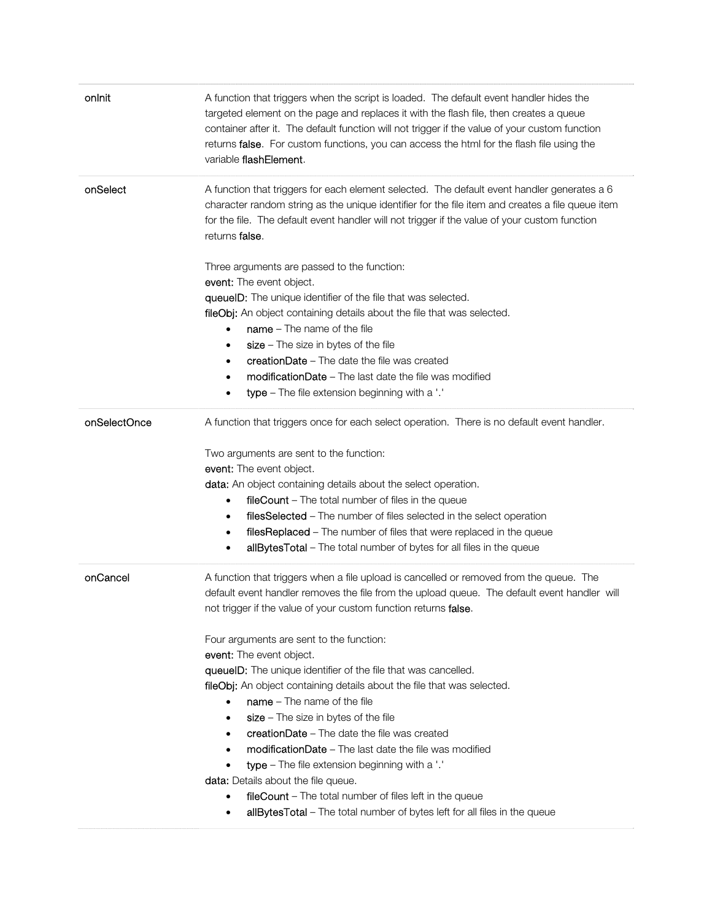| onlnit       | A function that triggers when the script is loaded. The default event handler hides the<br>targeted element on the page and replaces it with the flash file, then creates a queue<br>container after it. The default function will not trigger if the value of your custom function<br>returns false. For custom functions, you can access the html for the flash file using the<br>variable flashElement. |
|--------------|------------------------------------------------------------------------------------------------------------------------------------------------------------------------------------------------------------------------------------------------------------------------------------------------------------------------------------------------------------------------------------------------------------|
| onSelect     | A function that triggers for each element selected. The default event handler generates a 6<br>character random string as the unique identifier for the file item and creates a file queue item<br>for the file. The default event handler will not trigger if the value of your custom function<br>returns <b>false</b> .                                                                                 |
|              | Three arguments are passed to the function:                                                                                                                                                                                                                                                                                                                                                                |
|              | event: The event object.                                                                                                                                                                                                                                                                                                                                                                                   |
|              | queuelD: The unique identifier of the file that was selected.                                                                                                                                                                                                                                                                                                                                              |
|              | <b>fileObj:</b> An object containing details about the file that was selected.                                                                                                                                                                                                                                                                                                                             |
|              | $name - The name of the file$<br>$\bullet$                                                                                                                                                                                                                                                                                                                                                                 |
|              | $size - The size in bytes of the file$<br>$\bullet$                                                                                                                                                                                                                                                                                                                                                        |
|              | creationDate - The date the file was created<br>$\bullet$                                                                                                                                                                                                                                                                                                                                                  |
|              | <b>modificationDate</b> – The last date the file was modified<br>$\bullet$                                                                                                                                                                                                                                                                                                                                 |
|              | type - The file extension beginning with a '.'<br>$\bullet$                                                                                                                                                                                                                                                                                                                                                |
| onSelectOnce | A function that triggers once for each select operation. There is no default event handler.                                                                                                                                                                                                                                                                                                                |
|              | Two arguments are sent to the function:                                                                                                                                                                                                                                                                                                                                                                    |
|              | event: The event object.                                                                                                                                                                                                                                                                                                                                                                                   |
|              | <b>data:</b> An object containing details about the select operation.                                                                                                                                                                                                                                                                                                                                      |
|              | fileCount - The total number of files in the queue<br>$\bullet$                                                                                                                                                                                                                                                                                                                                            |
|              | filesSelected - The number of files selected in the select operation<br>$\bullet$                                                                                                                                                                                                                                                                                                                          |
|              | filesReplaced - The number of files that were replaced in the queue                                                                                                                                                                                                                                                                                                                                        |
|              | allBytesTotal - The total number of bytes for all files in the queue<br>٠                                                                                                                                                                                                                                                                                                                                  |
|              |                                                                                                                                                                                                                                                                                                                                                                                                            |
| onCancel     | A function that triggers when a file upload is cancelled or removed from the queue. The                                                                                                                                                                                                                                                                                                                    |
|              | default event handler removes the file from the upload queue. The default event handler will                                                                                                                                                                                                                                                                                                               |
|              | not trigger if the value of your custom function returns false.                                                                                                                                                                                                                                                                                                                                            |
|              | Four arguments are sent to the function:                                                                                                                                                                                                                                                                                                                                                                   |
|              | event: The event object.                                                                                                                                                                                                                                                                                                                                                                                   |
|              | queuelD: The unique identifier of the file that was cancelled.                                                                                                                                                                                                                                                                                                                                             |
|              | <b>fileObj:</b> An object containing details about the file that was selected.                                                                                                                                                                                                                                                                                                                             |
|              | $name - The name of the file$                                                                                                                                                                                                                                                                                                                                                                              |
|              | $size - The size in bytes of the file$<br>$\bullet$                                                                                                                                                                                                                                                                                                                                                        |
|              | creationDate - The date the file was created<br>$\bullet$                                                                                                                                                                                                                                                                                                                                                  |
|              | <b>modificationDate</b> – The last date the file was modified<br>$\bullet$                                                                                                                                                                                                                                                                                                                                 |
|              | type - The file extension beginning with a '.'                                                                                                                                                                                                                                                                                                                                                             |
|              | data: Details about the file queue.                                                                                                                                                                                                                                                                                                                                                                        |
|              | fileCount - The total number of files left in the queue                                                                                                                                                                                                                                                                                                                                                    |
|              | allBytesTotal - The total number of bytes left for all files in the queue                                                                                                                                                                                                                                                                                                                                  |
|              |                                                                                                                                                                                                                                                                                                                                                                                                            |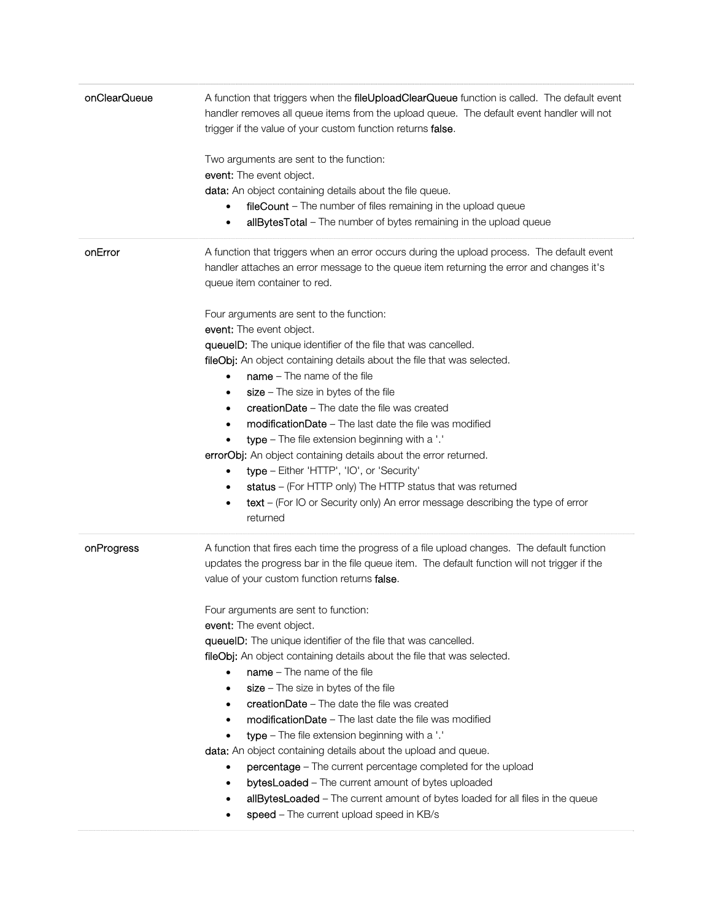| onClearQueue | A function that triggers when the fileUploadClearQueue function is called. The default event<br>handler removes all queue items from the upload queue. The default event handler will not<br>trigger if the value of your custom function returns false. |
|--------------|----------------------------------------------------------------------------------------------------------------------------------------------------------------------------------------------------------------------------------------------------------|
|              | Two arguments are sent to the function:                                                                                                                                                                                                                  |
|              | event: The event object.                                                                                                                                                                                                                                 |
|              | <b>data:</b> An object containing details about the file queue.                                                                                                                                                                                          |
|              | fileCount - The number of files remaining in the upload queue<br>$\bullet$                                                                                                                                                                               |
|              | allBytesTotal - The number of bytes remaining in the upload queue<br>$\bullet$                                                                                                                                                                           |
| onError      | A function that triggers when an error occurs during the upload process. The default event<br>handler attaches an error message to the queue item returning the error and changes it's<br>queue item container to red.                                   |
|              | Four arguments are sent to the function:                                                                                                                                                                                                                 |
|              | event: The event object.                                                                                                                                                                                                                                 |
|              | queuelD: The unique identifier of the file that was cancelled.                                                                                                                                                                                           |
|              | fileObj: An object containing details about the file that was selected.                                                                                                                                                                                  |
|              | $name - The name of the file$<br>$\bullet$                                                                                                                                                                                                               |
|              | $size - The size in bytes of the file$<br>$\bullet$                                                                                                                                                                                                      |
|              | creationDate - The date the file was created<br>٠                                                                                                                                                                                                        |
|              | <b>modificationDate</b> – The last date the file was modified<br>$\bullet$                                                                                                                                                                               |
|              | type - The file extension beginning with a '.'                                                                                                                                                                                                           |
|              | errorObj: An object containing details about the error returned.                                                                                                                                                                                         |
|              | type - Either 'HTTP', 'IO', or 'Security'<br>$\bullet$                                                                                                                                                                                                   |
|              | status - (For HTTP only) The HTTP status that was returned<br>٠                                                                                                                                                                                          |
|              | <b>text</b> – (For IO or Security only) An error message describing the type of error<br>٠<br>returned                                                                                                                                                   |
| onProgress   | A function that fires each time the progress of a file upload changes. The default function<br>updates the progress bar in the file queue item. The default function will not trigger if the<br>value of your custom function returns false.             |
|              | Four arguments are sent to function:                                                                                                                                                                                                                     |
|              | event: The event object.                                                                                                                                                                                                                                 |
|              | queuelD: The unique identifier of the file that was cancelled.                                                                                                                                                                                           |
|              | <b>fileObj:</b> An object containing details about the file that was selected.                                                                                                                                                                           |
|              | $name - The name of the file$<br>$\bullet$                                                                                                                                                                                                               |
|              | $size - The size in bytes of the file$<br>٠                                                                                                                                                                                                              |
|              | creationDate - The date the file was created<br>٠                                                                                                                                                                                                        |
|              | <b>modificationDate</b> – The last date the file was modified                                                                                                                                                                                            |
|              | <b>type</b> – The file extension beginning with a '.'                                                                                                                                                                                                    |
|              | data: An object containing details about the upload and queue.                                                                                                                                                                                           |
|              | percentage - The current percentage completed for the upload<br>٠                                                                                                                                                                                        |
|              | <b>bytesLoaded</b> - The current amount of bytes uploaded<br>٠                                                                                                                                                                                           |
|              | allBytesLoaded - The current amount of bytes loaded for all files in the queue<br>٠                                                                                                                                                                      |
|              | speed - The current upload speed in KB/s<br>٠                                                                                                                                                                                                            |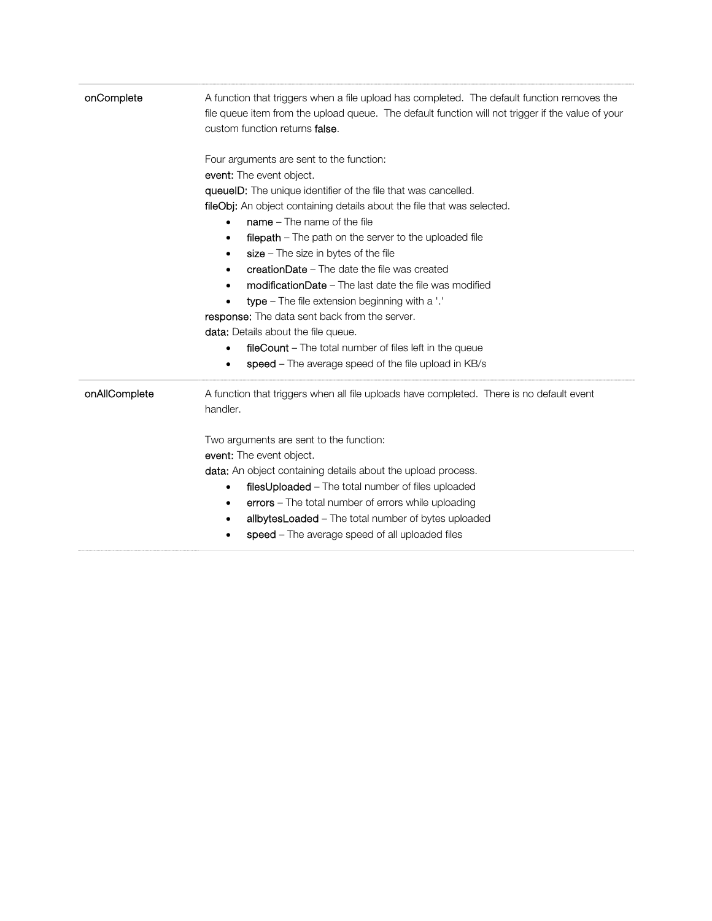| onComplete    | A function that triggers when a file upload has completed. The default function removes the<br>file queue item from the upload queue. The default function will not trigger if the value of your<br>custom function returns false.                                                                                                                                                                                                                                                                                                                                                                                                                                                                                                                                                                                                                          |
|---------------|-------------------------------------------------------------------------------------------------------------------------------------------------------------------------------------------------------------------------------------------------------------------------------------------------------------------------------------------------------------------------------------------------------------------------------------------------------------------------------------------------------------------------------------------------------------------------------------------------------------------------------------------------------------------------------------------------------------------------------------------------------------------------------------------------------------------------------------------------------------|
|               | Four arguments are sent to the function:<br>event: The event object.<br>queuelD: The unique identifier of the file that was cancelled.<br>fileObj: An object containing details about the file that was selected.<br>$name - The name of the file$<br><b>filepath</b> – The path on the server to the uploaded file<br>$\bullet$<br>$size - The size in bytes of the file$<br>$\bullet$<br><b>creationDate</b> – The date the file was created<br>$\bullet$<br><b>modificationDate</b> – The last date the file was modified<br>$\bullet$<br>type - The file extension beginning with a '.'<br>$\bullet$<br>response: The data sent back from the server.<br><b>data:</b> Details about the file queue.<br><b>fileCount</b> – The total number of files left in the queue<br>$\bullet$<br>speed – The average speed of the file upload in KB/s<br>$\bullet$ |
| onAllComplete | A function that triggers when all file uploads have completed. There is no default event<br>handler.<br>Two arguments are sent to the function:<br>event: The event object.<br><b>data:</b> An object containing details about the upload process.<br>filesUploaded - The total number of files uploaded<br>$\bullet$<br>errors - The total number of errors while uploading<br>٠<br>allbytesLoaded - The total number of bytes uploaded<br>٠<br>speed - The average speed of all uploaded files                                                                                                                                                                                                                                                                                                                                                            |